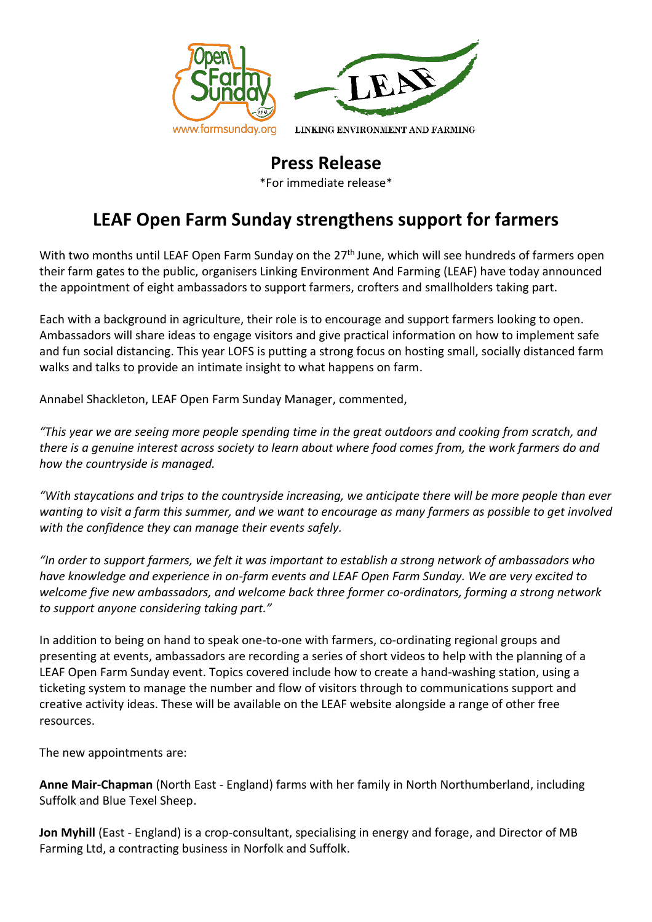



LINKING ENVIRONMENT AND FARMING

## **Press Release**

\*For immediate release\*

## **LEAF Open Farm Sunday strengthens support for farmers**

With two months until LEAF Open Farm Sunday on the 27<sup>th</sup> June, which will see hundreds of farmers open their farm gates to the public, organisers Linking Environment And Farming (LEAF) have today announced the appointment of eight ambassadors to support farmers, crofters and smallholders taking part.

Each with a background in agriculture, their role is to encourage and support farmers looking to open. Ambassadors will share ideas to engage visitors and give practical information on how to implement safe and fun social distancing. This year LOFS is putting a strong focus on hosting small, socially distanced farm walks and talks to provide an intimate insight to what happens on farm.

Annabel Shackleton, LEAF Open Farm Sunday Manager, commented,

*"This year we are seeing more people spending time in the great outdoors and cooking from scratch, and there is a genuine interest across society to learn about where food comes from, the work farmers do and how the countryside is managed.* 

*"With staycations and trips to the countryside increasing, we anticipate there will be more people than ever wanting to visit a farm this summer, and we want to encourage as many farmers as possible to get involved with the confidence they can manage their events safely.* 

*"In order to support farmers, we felt it was important to establish a strong network of ambassadors who have knowledge and experience in on-farm events and LEAF Open Farm Sunday. We are very excited to welcome five new ambassadors, and welcome back three former co-ordinators, forming a strong network to support anyone considering taking part."*

In addition to being on hand to speak one-to-one with farmers, co-ordinating regional groups and presenting at events, ambassadors are recording a series of short videos to help with the planning of a LEAF Open Farm Sunday event. Topics covered include how to create a hand-washing station, using a ticketing system to manage the number and flow of visitors through to communications support and creative activity ideas. These will be available on the LEAF website alongside a range of other free resources.

The new appointments are:

**Anne Mair-Chapman** (North East - England) farms with her family in North Northumberland, including Suffolk and Blue Texel Sheep.

**Jon Myhill** (East - England) is a crop-consultant, specialising in energy and forage, and Director of MB Farming Ltd, a contracting business in Norfolk and Suffolk.